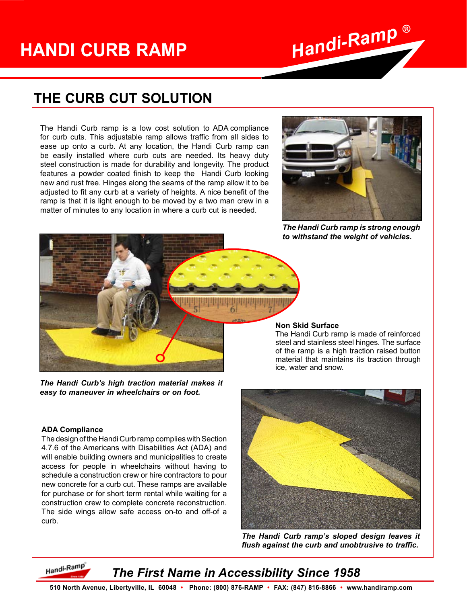## **HANDI CURB RAMP**



## **The CURB CUT SOLUTION**

The Handi Curb ramp is a low cost solution to ADA compliance for curb cuts. This adjustable ramp allows traffic from all sides to ease up onto a curb. At any location, the Handi Curb ramp can be easily installed where curb cuts are needed. Its heavy duty steel construction is made for durability and longevity. The product features a powder coated finish to keep the Handi Curb looking new and rust free. Hinges along the seams of the ramp allow it to be adjusted to fit any curb at a variety of heights. A nice benefit of the ramp is that it is light enough to be moved by a two man crew in a matter of minutes to any location in where a curb cut is needed.



*The Handi Curb ramp is strong enough to withstand the weight of vehicles.*



*The Handi Curb's high traction material makes it easy to maneuver in wheelchairs or on foot.*

### **Non Skid Surface**

The Handi Curb ramp is made of reinforced steel and stainless steel hinges. The surface of the ramp is a high traction raised button material that maintains its traction through ice, water and snow.

#### **ADA Compliance**

The design of the Handi Curb ramp complies with Section 4.7.6 of the Americans with Disabilities Act (ADA) and will enable building owners and municipalities to create access for people in wheelchairs without having to schedule a construction crew or hire contractors to pour new concrete for a curb cut. These ramps are available for purchase or for short term rental while waiting for a construction crew to complete concrete reconstruction. The side wings allow safe access on-to and off-of a curb.



*The Handi Curb ramp's sloped design leaves it flush against the curb and unobtrusive to traffic.*

Handi-Ramp<sup>®</sup>

*The First Name in Accessibility Since 1958*

 **510 North Avenue, Libertyville, IL 60048 • Phone: (800) 876-RAMP • FAX: (847) 816-8866 • www.handiramp.com**